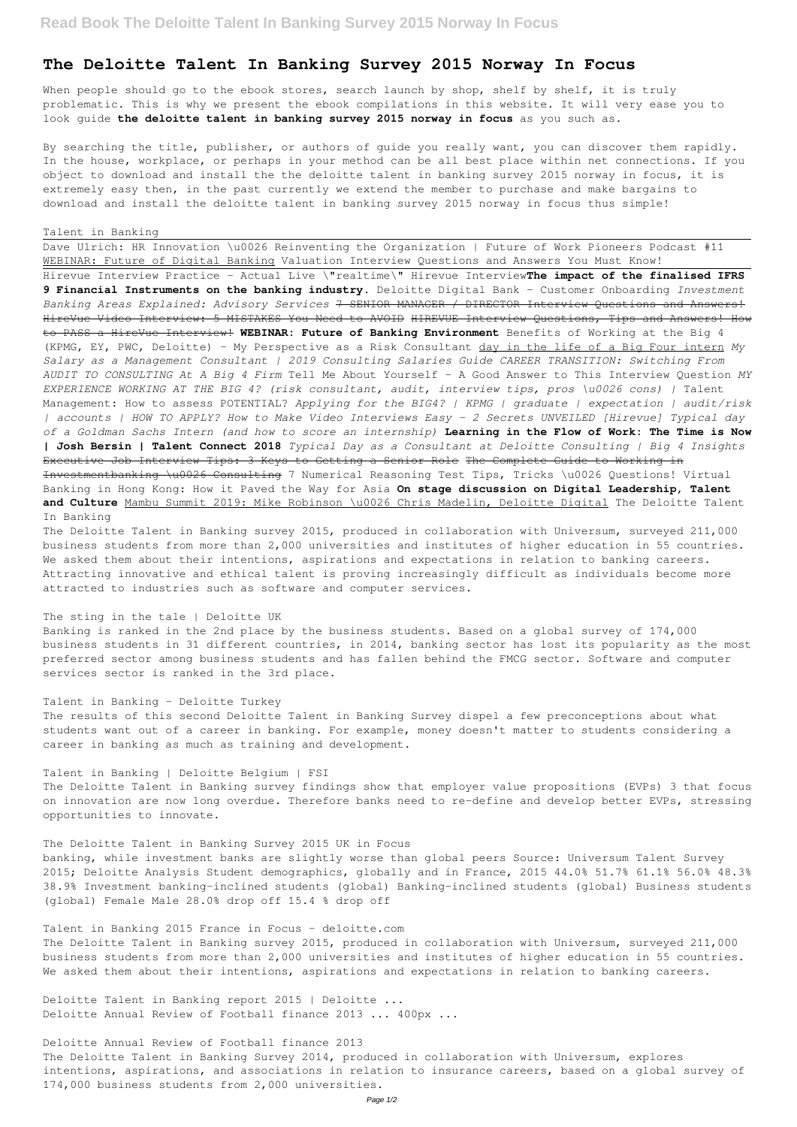# **The Deloitte Talent In Banking Survey 2015 Norway In Focus**

When people should go to the ebook stores, search launch by shop, shelf by shelf, it is truly problematic. This is why we present the ebook compilations in this website. It will very ease you to look guide **the deloitte talent in banking survey 2015 norway in focus** as you such as.

By searching the title, publisher, or authors of guide you really want, you can discover them rapidly. In the house, workplace, or perhaps in your method can be all best place within net connections. If you object to download and install the the deloitte talent in banking survey 2015 norway in focus, it is extremely easy then, in the past currently we extend the member to purchase and make bargains to download and install the deloitte talent in banking survey 2015 norway in focus thus simple!

#### Talent in Banking

Dave Ulrich: HR Innovation \u0026 Reinventing the Organization | Future of Work Pioneers Podcast #11 WEBINAR: Future of Digital Banking Valuation Interview Questions and Answers You Must Know! Hirevue Interview Practice - Actual Live \"realtime\" Hirevue Interview**The impact of the finalised IFRS 9 Financial Instruments on the banking industry.** Deloitte Digital Bank – Customer Onboarding *Investment Banking Areas Explained: Advisory Services* 7 SENIOR MANAGER / DIRECTOR Interview Questions and Answers! HireVue Video Interview: 5 MISTAKES You Need to AVOID HIREVUE Interview Questions, Tips and Answers! How to PASS a HireVue Interview! **WEBINAR: Future of Banking Environment** Benefits of Working at the Big 4 (KPMG, EY, PWC, Deloitte) - My Perspective as a Risk Consultant day in the life of a Big Four intern *My Salary as a Management Consultant | 2019 Consulting Salaries Guide CAREER TRANSITION: Switching From AUDIT TO CONSULTING At A Big 4 Firm* Tell Me About Yourself - A Good Answer to This Interview Question *MY EXPERIENCE WORKING AT THE BIG 4? (risk consultant, audit, interview tips, pros \u0026 cons) |* Talent Management: How to assess POTENTIAL? *Applying for the BIG4? | KPMG | graduate | expectation | audit/risk | accounts | HOW TO APPLY? How to Make Video Interviews Easy - 2 Secrets UNVEILED [Hirevue] Typical day of a Goldman Sachs Intern (and how to score an internship)* **Learning in the Flow of Work: The Time is Now | Josh Bersin | Talent Connect 2018** *Typical Day as a Consultant at Deloitte Consulting | Big 4 Insights* Executive Job Interview Tips: 3 Keys to Getting a Senior Role The Complete Guide to Working in Investmentbanking \u0026 Consulting 7 Numerical Reasoning Test Tips, Tricks \u0026 Questions! Virtual Banking in Hong Kong: How it Paved the Way for Asia **On stage discussion on Digital Leadership, Talent and Culture** Mambu Summit 2019: Mike Robinson \u0026 Chris Madelin, Deloitte Digital The Deloitte Talent In Banking

The Deloitte Talent in Banking survey 2015, produced in collaboration with Universum, surveyed 211,000 business students from more than 2,000 universities and institutes of higher education in 55 countries. We asked them about their intentions, aspirations and expectations in relation to banking careers. Attracting innovative and ethical talent is proving increasingly difficult as individuals become more attracted to industries such as software and computer services.

# The sting in the tale | Deloitte UK

Banking is ranked in the 2nd place by the business students. Based on a global survey of 174,000 business students in 31 different countries, in 2014, banking sector has lost its popularity as the most preferred sector among business students and has fallen behind the FMCG sector. Software and computer services sector is ranked in the 3rd place.

# Talent in Banking - Deloitte Turkey

The results of this second Deloitte Talent in Banking Survey dispel a few preconceptions about what students want out of a career in banking. For example, money doesn't matter to students considering a career in banking as much as training and development.

Talent in Banking | Deloitte Belgium | FSI

The Deloitte Talent in Banking survey findings show that employer value propositions (EVPs) 3 that focus on innovation are now long overdue. Therefore banks need to re-define and develop better EVPs, stressing opportunities to innovate.

The Deloitte Talent in Banking Survey 2015 UK in Focus

banking, while investment banks are slightly worse than global peers Source: Universum Talent Survey 2015; Deloitte Analysis Student demographics, globally and in France, 2015 44.0% 51.7% 61.1% 56.0% 48.3% 38.9% Investment banking-inclined students (global) Banking-inclined students (global) Business students (global) Female Male 28.0% drop off 15.4 % drop off

# Talent in Banking 2015 France in Focus - deloitte.com

The Deloitte Talent in Banking survey 2015, produced in collaboration with Universum, surveyed 211,000 business students from more than 2,000 universities and institutes of higher education in 55 countries. We asked them about their intentions, aspirations and expectations in relation to banking careers.

Deloitte Talent in Banking report 2015 | Deloitte ... Deloitte Annual Review of Football finance 2013 ... 400px ...

## Deloitte Annual Review of Football finance 2013

The Deloitte Talent in Banking Survey 2014, produced in collaboration with Universum, explores intentions, aspirations, and associations in relation to insurance careers, based on a global survey of 174,000 business students from 2,000 universities.